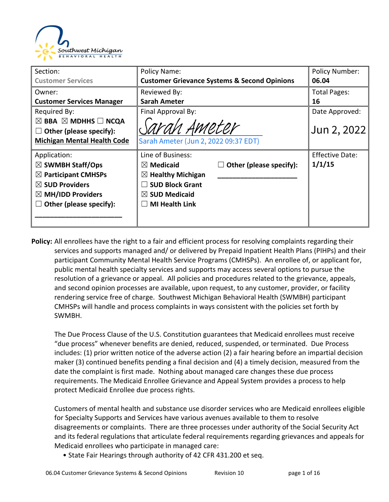

| Section:                                      | Policy Name:                         |                                                         | <b>Policy Number:</b>  |
|-----------------------------------------------|--------------------------------------|---------------------------------------------------------|------------------------|
| <b>Customer Services</b>                      |                                      | <b>Customer Grievance Systems &amp; Second Opinions</b> | 06.04                  |
| Owner:                                        | Reviewed By:                         |                                                         | <b>Total Pages:</b>    |
| <b>Customer Services Manager</b>              | <b>Sarah Ameter</b>                  |                                                         | 16                     |
| Required By:                                  | Final Approval By:                   |                                                         | Date Approved:         |
| $\boxtimes$ BBA $\boxtimes$ MDHHS $\Box$ NCQA |                                      |                                                         |                        |
| Other (please specify):<br>ш                  | Sarah Ameter                         |                                                         | Jun 2, 2022            |
| <b>Michigan Mental Health Code</b>            | Sarah Ameter (Jun 2, 2022 09:37 EDT) |                                                         |                        |
| Application:                                  | Line of Business:                    |                                                         | <b>Effective Date:</b> |
| $\boxtimes$ SWMBH Staff/Ops                   | $\boxtimes$ Medicaid                 | Other (please specify):                                 | 1/1/15                 |
| $\boxtimes$ Participant CMHSPs                | $\boxtimes$ Healthy Michigan         |                                                         |                        |
| $\boxtimes$ SUD Providers                     | <b>SUD Block Grant</b>               |                                                         |                        |
| $\boxtimes$ MH/IDD Providers                  | $\boxtimes$ SUD Medicaid             |                                                         |                        |
| Other (please specify):                       | <b>MI Health Link</b>                |                                                         |                        |
|                                               |                                      |                                                         |                        |
|                                               |                                      |                                                         |                        |

**Policy:** All enrollees have the right to a fair and efficient process for resolving complaints regarding their services and supports managed and/ or delivered by Prepaid Inpatient Health Plans (PIHPs) and their participant Community Mental Health Service Programs (CMHSPs). An enrollee of, or applicant for, public mental health specialty services and supports may access several options to pursue the resolution of a grievance or appeal. All policies and procedures related to the grievance, appeals, and second opinion processes are available, upon request, to any customer, provider, or facility rendering service free of charge. Southwest Michigan Behavioral Health (SWMBH) participant CMHSPs will handle and process complaints in ways consistent with the policies set forth by SWMBH.

The Due Process Clause of the U.S. Constitution guarantees that Medicaid enrollees must receive "due process" whenever benefits are denied, reduced, suspended, or terminated. Due Process includes: (1) prior written notice of the adverse action (2) a fair hearing before an impartial decision maker (3) continued benefits pending a final decision and (4) a timely decision, measured from the date the complaint is first made. Nothing about managed care changes these due process requirements. The Medicaid Enrollee Grievance and Appeal System provides a process to help protect Medicaid Enrollee due process rights.

Customers of mental health and substance use disorder services who are Medicaid enrollees eligible for Specialty Supports and Services have various avenues available to them to resolve disagreements or complaints. There are three processes under authority of the Social Security Act and its federal regulations that articulate federal requirements regarding grievances and appeals for Medicaid enrollees who participate in managed care:

• State Fair Hearings through authority of 42 CFR 431.200 et seq.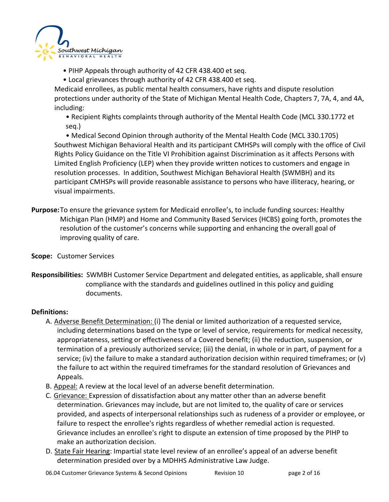

- PIHP Appeals through authority of 42 CFR 438.400 et seq.
- Local grievances through authority of 42 CFR 438.400 et seq.

Medicaid enrollees, as public mental health consumers, have rights and dispute resolution protections under authority of the State of Michigan Mental Health Code, Chapters 7, 7A, 4, and 4A, including:

• Recipient Rights complaints through authority of the Mental Health Code (MCL 330.1772 et seq.)

• Medical Second Opinion through authority of the Mental Health Code (MCL 330.1705) Southwest Michigan Behavioral Health and its participant CMHSPs will comply with the office of Civil Rights Policy Guidance on the Title VI Prohibition against Discrimination as it affects Persons with Limited English Proficiency (LEP) when they provide written notices to customers and engage in resolution processes. In addition, Southwest Michigan Behavioral Health (SWMBH) and its participant CMHSPs will provide reasonable assistance to persons who have illiteracy, hearing, or visual impairments.

- **Purpose:**To ensure the grievance system for Medicaid enrollee's, to include funding sources: Healthy Michigan Plan (HMP) and Home and Community Based Services (HCBS) going forth, promotes the resolution of the customer's concerns while supporting and enhancing the overall goal of improving quality of care.
- **Scope:** Customer Services
- **Responsibilities:** SWMBH Customer Service Department and delegated entities, as applicable, shall ensure compliance with the standards and guidelines outlined in this policy and guiding documents.

#### **Definitions:**

- A. Adverse Benefit Determination: (i) The denial or limited authorization of a requested service, including determinations based on the type or level of service, requirements for medical necessity, appropriateness, setting or effectiveness of a Covered benefit; (ii) the reduction, suspension, or termination of a previously authorized service; (iii) the denial, in whole or in part, of payment for a service; (iv) the failure to make a standard authorization decision within required timeframes; or (v) the failure to act within the required timeframes for the standard resolution of Grievances and Appeals.
- B. Appeal: A review at the local level of an adverse benefit determination.
- C. Grievance: Expression of dissatisfaction about any matter other than an adverse benefit determination. Grievances may include, but are not limited to, the quality of care or services provided, and aspects of interpersonal relationships such as rudeness of a provider or employee, or failure to respect the enrollee's rights regardless of whether remedial action is requested. Grievance includes an enrollee's right to dispute an extension of time proposed by the PIHP to make an authorization decision.
- D. State Fair Hearing: Impartial state level review of an enrollee's appeal of an adverse benefit determination presided over by a MDHHS Administrative Law Judge.

06.04 Customer Grievance Systems & Second Opinions Revision 10 https://education.com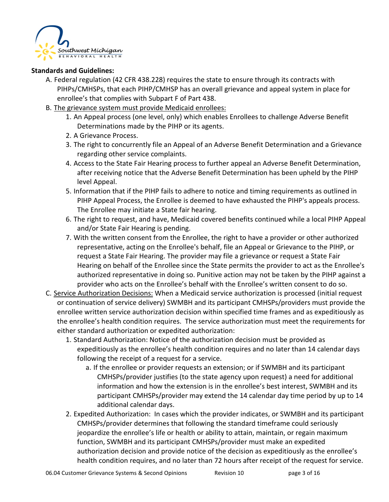

#### **Standards and Guidelines:**

- A. Federal regulation (42 CFR 438.228) requires the state to ensure through its contracts with PIHPs/CMHSPs, that each PIHP/CMHSP has an overall grievance and appeal system in place for enrollee's that complies with Subpart F of Part 438.
- B. The grievance system must provide Medicaid enrollees:
	- 1. An Appeal process (one level, only) which enables Enrollees to challenge Adverse Benefit Determinations made by the PIHP or its agents.
	- 2. A Grievance Process.
	- 3. The right to concurrently file an Appeal of an Adverse Benefit Determination and a Grievance regarding other service complaints.
	- 4. Access to the State Fair Hearing process to further appeal an Adverse Benefit Determination, after receiving notice that the Adverse Benefit Determination has been upheld by the PIHP level Appeal.
	- 5. Information that if the PIHP fails to adhere to notice and timing requirements as outlined in PIHP Appeal Process, the Enrollee is deemed to have exhausted the PIHP's appeals process. The Enrollee may initiate a State fair hearing.
	- 6. The right to request, and have, Medicaid covered benefits continued while a local PIHP Appeal and/or State Fair Hearing is pending.
	- 7. With the written consent from the Enrollee, the right to have a provider or other authorized representative, acting on the Enrollee's behalf, file an Appeal or Grievance to the PIHP, or request a State Fair Hearing. The provider may file a grievance or request a State Fair Hearing on behalf of the Enrollee since the State permits the provider to act as the Enrollee's authorized representative in doing so. Punitive action may not be taken by the PIHP against a provider who acts on the Enrollee's behalf with the Enrollee's written consent to do so.
- C. Service Authorization Decisions: When a Medicaid service authorization is processed (initial request or continuation of service delivery) SWMBH and its participant CMHSPs/providers must provide the enrollee written service authorization decision within specified time frames and as expeditiously as the enrollee's health condition requires. The service authorization must meet the requirements for either standard authorization or expedited authorization:
	- 1. Standard Authorization: Notice of the authorization decision must be provided as expeditiously as the enrollee's health condition requires and no later than 14 calendar days following the receipt of a request for a service.
		- a. If the enrollee or provider requests an extension; or if SWMBH and its participant CMHSPs/provider justifies (to the state agency upon request) a need for additional information and how the extension is in the enrollee's best interest, SWMBH and its participant CMHSPs/provider may extend the 14 calendar day time period by up to 14 additional calendar days.
	- 2. Expedited Authorization: In cases which the provider indicates, or SWMBH and its participant CMHSPs/provider determines that following the standard timeframe could seriously jeopardize the enrollee's life or health or ability to attain, maintain, or regain maximum function, SWMBH and its participant CMHSPs/provider must make an expedited authorization decision and provide notice of the decision as expeditiously as the enrollee's health condition requires, and no later than 72 hours after receipt of the request for service.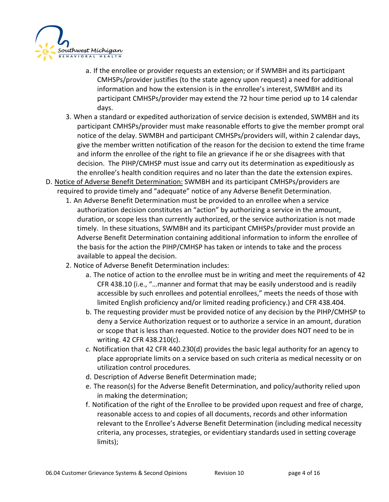

- a. If the enrollee or provider requests an extension; or if SWMBH and its participant CMHSPs/provider justifies (to the state agency upon request) a need for additional information and how the extension is in the enrollee's interest, SWMBH and its participant CMHSPs/provider may extend the 72 hour time period up to 14 calendar days.
- 3. When a standard or expedited authorization of service decision is extended, SWMBH and its participant CMHSPs/provider must make reasonable efforts to give the member prompt oral notice of the delay. SWMBH and participant CMHSPs/providers will, within 2 calendar days, give the member written notification of the reason for the decision to extend the time frame and inform the enrollee of the right to file an grievance if he or she disagrees with that decision. The PIHP/CMHSP must issue and carry out its determination as expeditiously as the enrollee's health condition requires and no later than the date the extension expires.
- D. Notice of Adverse Benefit Determination: SWMBH and its participant CMHSPs/providers are required to provide timely and "adequate" notice of any Adverse Benefit Determination.
	- 1. An Adverse Benefit Determination must be provided to an enrollee when a service authorization decision constitutes an "action" by authorizing a service in the amount, duration, or scope less than currently authorized, or the service authorization is not made timely. In these situations, SWMBH and its participant CMHSPs/provider must provide an Adverse Benefit Determination containing additional information to inform the enrollee of the basis for the action the PIHP/CMHSP has taken or intends to take and the process available to appeal the decision.
	- 2. Notice of Adverse Benefit Determination includes:
		- a. The notice of action to the enrollee must be in writing and meet the requirements of 42 CFR 438.10 (i.e., "…manner and format that may be easily understood and is readily accessible by such enrollees and potential enrollees," meets the needs of those with limited English proficiency and/or limited reading proficiency.) and CFR 438.404.
		- b. The requesting provider must be provided notice of any decision by the PIHP/CMHSP to deny a Service Authorization request or to authorize a service in an amount, duration or scope that is less than requested. Notice to the provider does NOT need to be in writing. 42 CFR 438.210(c).
		- *c.* Notification that 42 CFR 440.230(d) provides the basic legal authority for an agency to place appropriate limits on a service based on such criteria as medical necessity or on utilization control procedures.
		- d. Description of Adverse Benefit Determination made;
		- e. The reason(s) for the Adverse Benefit Determination, and policy/authority relied upon in making the determination;
		- f. Notification of the right of the Enrollee to be provided upon request and free of charge, reasonable access to and copies of all documents, records and other information relevant to the Enrollee's Adverse Benefit Determination (including medical necessity criteria, any processes, strategies, or evidentiary standards used in setting coverage limits);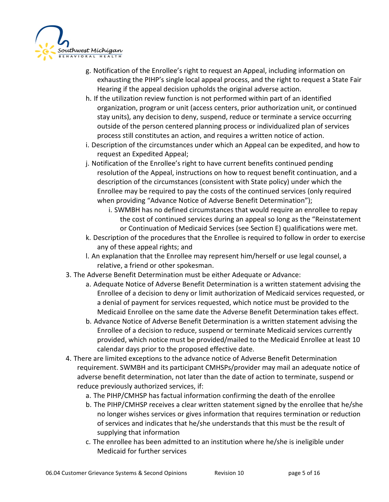

- g. Notification of the Enrollee's right to request an Appeal, including information on exhausting the PIHP's single local appeal process, and the right to request a State Fair Hearing if the appeal decision upholds the original adverse action.
- h. If the utilization review function is not performed within part of an identified organization, program or unit (access centers, prior authorization unit, or continued stay units), any decision to deny, suspend, reduce or terminate a service occurring outside of the person centered planning process or individualized plan of services process still constitutes an action, and requires a written notice of action.
- i. Description of the circumstances under which an Appeal can be expedited, and how to request an Expedited Appeal;
- j. Notification of the Enrollee's right to have current benefits continued pending resolution of the Appeal, instructions on how to request benefit continuation, and a description of the circumstances (consistent with State policy) under which the Enrollee may be required to pay the costs of the continued services (only required when providing "Advance Notice of Adverse Benefit Determination");
	- i. SWMBH has no defined circumstances that would require an enrollee to repay the cost of continued services during an appeal so long as the "Reinstatement or Continuation of Medicaid Services (see Section E) qualifications were met.
- k. Description of the procedures that the Enrollee is required to follow in order to exercise any of these appeal rights; and
- l. An explanation that the Enrollee may represent him/herself or use legal counsel, a relative, a friend or other spokesman.
- 3. The Adverse Benefit Determination must be either Adequate or Advance:
	- a. Adequate Notice of Adverse Benefit Determination is a written statement advising the Enrollee of a decision to deny or limit authorization of Medicaid services requested, or a denial of payment for services requested, which notice must be provided to the Medicaid Enrollee on the same date the Adverse Benefit Determination takes effect.
	- b. Advance Notice of Adverse Benefit Determination is a written statement advising the Enrollee of a decision to reduce, suspend or terminate Medicaid services currently provided, which notice must be provided/mailed to the Medicaid Enrollee at least 10 calendar days prior to the proposed effective date.
- 4. There are limited exceptions to the advance notice of Adverse Benefit Determination requirement. SWMBH and its participant CMHSPs/provider may mail an adequate notice of adverse benefit determination, not later than the date of action to terminate, suspend or reduce previously authorized services, if:
	- a. The PIHP/CMHSP has factual information confirming the death of the enrollee
	- b. The PIHP/CMHSP receives a clear written statement signed by the enrollee that he/she no longer wishes services or gives information that requires termination or reduction of services and indicates that he/she understands that this must be the result of supplying that information
	- c. The enrollee has been admitted to an institution where he/she is ineligible under Medicaid for further services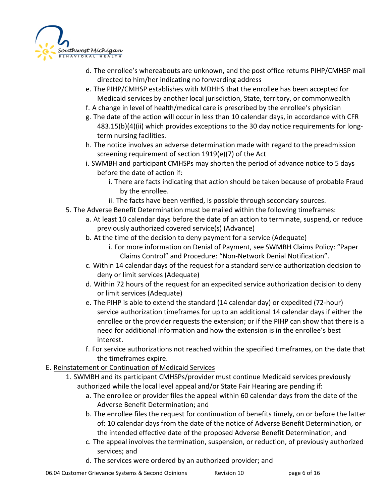

- d. The enrollee's whereabouts are unknown, and the post office returns PIHP/CMHSP mail directed to him/her indicating no forwarding address
- e. The PIHP/CMHSP establishes with MDHHS that the enrollee has been accepted for Medicaid services by another local jurisdiction, State, territory, or commonwealth
- f. A change in level of health/medical care is prescribed by the enrollee's physician
- g. The date of the action will occur in less than 10 calendar days, in accordance with CFR 483.15(b)(4)(ii) which provides exceptions to the 30 day notice requirements for longterm nursing facilities.
- h. The notice involves an adverse determination made with regard to the preadmission screening requirement of section 1919(e)(7) of the Act
- i. SWMBH and participant CMHSPs may shorten the period of advance notice to 5 days before the date of action if:
	- i. There are facts indicating that action should be taken because of probable Fraud by the enrollee.
	- ii. The facts have been verified, is possible through secondary sources.
- 5. The Adverse Benefit Determination must be mailed within the following timeframes:
	- a. At least 10 calendar days before the date of an action to terminate, suspend, or reduce previously authorized covered service(s) (Advance)
	- b. At the time of the decision to deny payment for a service (Adequate)
		- i. For more information on Denial of Payment, see SWMBH Claims Policy: "Paper Claims Control" and Procedure: "Non-Network Denial Notification".
	- c. Within 14 calendar days of the request for a standard service authorization decision to deny or limit services (Adequate)
	- d. Within 72 hours of the request for an expedited service authorization decision to deny or limit services (Adequate)
	- e. The PIHP is able to extend the standard (14 calendar day) or expedited (72-hour) service authorization timeframes for up to an additional 14 calendar days if either the enrollee or the provider requests the extension; or if the PIHP can show that there is a need for additional information and how the extension is in the enrollee's best interest.
	- f. For service authorizations not reached within the specified timeframes, on the date that the timeframes expire.
- E. Reinstatement or Continuation of Medicaid Services
	- 1. SWMBH and its participant CMHSPs/provider must continue Medicaid services previously authorized while the local level appeal and/or State Fair Hearing are pending if:
		- a. The enrollee or provider files the appeal within 60 calendar days from the date of the Adverse Benefit Determination; and
		- b. The enrollee files the request for continuation of benefits timely, on or before the latter of: 10 calendar days from the date of the notice of Adverse Benefit Determination, or the intended effective date of the proposed Adverse Benefit Determination; and
		- c. The appeal involves the termination, suspension, or reduction, of previously authorized services; and
		- d. The services were ordered by an authorized provider; and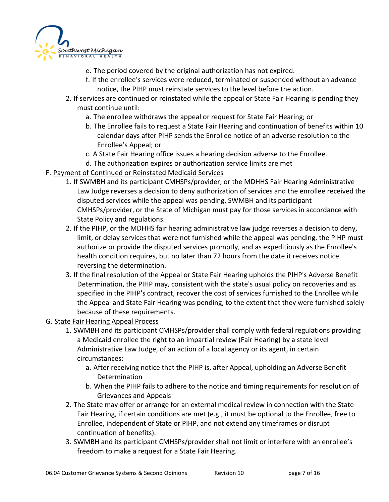

- e. The period covered by the original authorization has not expired.
- f. If the enrollee's services were reduced, terminated or suspended without an advance notice, the PIHP must reinstate services to the level before the action.
- 2. If services are continued or reinstated while the appeal or State Fair Hearing is pending they must continue until:
	- a. The enrollee withdraws the appeal or request for State Fair Hearing; or
	- b. The Enrollee fails to request a State Fair Hearing and continuation of benefits within 10 calendar days after PIHP sends the Enrollee notice of an adverse resolution to the Enrollee's Appeal; or
	- c. A State Fair Hearing office issues a hearing decision adverse to the Enrollee.
	- d. The authorization expires or authorization service limits are met
- F. Payment of Continued or Reinstated Medicaid Services
	- 1. If SWMBH and its participant CMHSPs/provider, or the MDHHS Fair Hearing Administrative Law Judge reverses a decision to deny authorization of services and the enrollee received the disputed services while the appeal was pending, SWMBH and its participant CMHSPs/provider, or the State of Michigan must pay for those services in accordance with State Policy and regulations.
	- 2. If the PIHP, or the MDHHS fair hearing administrative law judge reverses a decision to deny, limit, or delay services that were not furnished while the appeal was pending, the PIHP must authorize or provide the disputed services promptly, and as expeditiously as the Enrollee's health condition requires, but no later than 72 hours from the date it receives notice reversing the determination.
	- 3. If the final resolution of the Appeal or State Fair Hearing upholds the PIHP's Adverse Benefit Determination, the PIHP may, consistent with the state's usual policy on recoveries and as specified in the PIHP's contract, recover the cost of services furnished to the Enrollee while the Appeal and State Fair Hearing was pending, to the extent that they were furnished solely because of these requirements.
- G. State Fair Hearing Appeal Process
	- 1. SWMBH and its participant CMHSPs/provider shall comply with federal regulations providing a Medicaid enrollee the right to an impartial review (Fair Hearing) by a state level Administrative Law Judge, of an action of a local agency or its agent, in certain circumstances:
		- a. After receiving notice that the PIHP is, after Appeal, upholding an Adverse Benefit Determination
		- b. When the PIHP fails to adhere to the notice and timing requirements for resolution of Grievances and Appeals
	- 2. The State may offer or arrange for an external medical review in connection with the State Fair Hearing, if certain conditions are met (e.g., it must be optional to the Enrollee, free to Enrollee, independent of State or PIHP, and not extend any timeframes or disrupt continuation of benefits).
	- 3. SWMBH and its participant CMHSPs/provider shall not limit or interfere with an enrollee's freedom to make a request for a State Fair Hearing.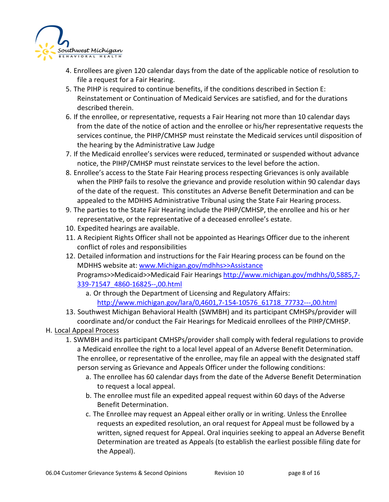

- 4. Enrollees are given 120 calendar days from the date of the applicable notice of resolution to file a request for a Fair Hearing.
- 5. The PIHP is required to continue benefits, if the conditions described in Section E: Reinstatement or Continuation of Medicaid Services are satisfied, and for the durations described therein.
- 6. If the enrollee, or representative, requests a Fair Hearing not more than 10 calendar days from the date of the notice of action and the enrollee or his/her representative requests the services continue, the PIHP/CMHSP must reinstate the Medicaid services until disposition of the hearing by the Administrative Law Judge
- 7. If the Medicaid enrollee's services were reduced, terminated or suspended without advance notice, the PIHP/CMHSP must reinstate services to the level before the action.
- 8. Enrollee's access to the State Fair Hearing process respecting Grievances is only available when the PIHP fails to resolve the grievance and provide resolution within 90 calendar days of the date of the request. This constitutes an Adverse Benefit Determination and can be appealed to the MDHHS Administrative Tribunal using the State Fair Hearing process.
- 9. The parties to the State Fair Hearing include the PIHP/CMHSP, the enrollee and his or her representative, or the representative of a deceased enrollee's estate.
- 10. Expedited hearings are available.
- 11. A Recipient Rights Officer shall not be appointed as Hearings Officer due to the inherent conflict of roles and responsibilities
- 12. Detailed information and instructions for the Fair Hearing process can be found on the MDHHS website at: [www.Michigan.gov/mdhhs>>Assistance](http://www.michigan.gov/mdhhs%3e%3eAssistance) Programs>>Medicaid>>Medicaid Fair Hearings [http://www.michigan.gov/mdhhs/0,5885,7-](http://www.michigan.gov/mdhhs/0,5885,7-339-71547_4860-16825--,00.html) [339-71547\\_4860-16825--,00.html](http://www.michigan.gov/mdhhs/0,5885,7-339-71547_4860-16825--,00.html)
	- a. Or through the Department of Licensing and Regulatory Affairs: [http://www.michigan.gov/lara/0,4601,7-154-10576\\_61718\\_77732---,00.html](http://www.michigan.gov/lara/0,4601,7-154-10576_61718_77732---,00.html)
- 13. Southwest Michigan Behavioral Health (SWMBH) and its participant CMHSPs/provider will coordinate and/or conduct the Fair Hearings for Medicaid enrollees of the PIHP/CMHSP.

### H. Local Appeal Process

- 1. SWMBH and its participant CMHSPs/provider shall comply with federal regulations to provide a Medicaid enrollee the right to a local level appeal of an Adverse Benefit Determination. The enrollee, or representative of the enrollee, may file an appeal with the designated staff person serving as Grievance and Appeals Officer under the following conditions:
	- a. The enrollee has 60 calendar days from the date of the Adverse Benefit Determination to request a local appeal.
	- b. The enrollee must file an expedited appeal request within 60 days of the Adverse Benefit Determination.
	- c. The Enrollee may request an Appeal either orally or in writing. Unless the Enrollee requests an expedited resolution, an oral request for Appeal must be followed by a written, signed request for Appeal. Oral inquiries seeking to appeal an Adverse Benefit Determination are treated as Appeals (to establish the earliest possible filing date for the Appeal).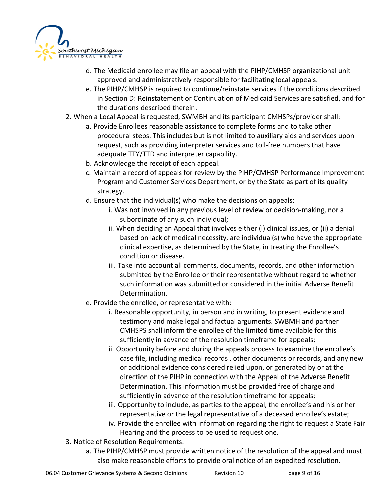

- d. The Medicaid enrollee may file an appeal with the PIHP/CMHSP organizational unit approved and administratively responsible for facilitating local appeals.
- e. The PIHP/CMHSP is required to continue/reinstate services if the conditions described in Section D: Reinstatement or Continuation of Medicaid Services are satisfied, and for the durations described therein.
- 2. When a Local Appeal is requested, SWMBH and its participant CMHSPs/provider shall:
	- a. Provide Enrollees reasonable assistance to complete forms and to take other procedural steps. This includes but is not limited to auxiliary aids and services upon request, such as providing interpreter services and toll-free numbers that have adequate TTY/TTD and interpreter capability.
	- b. Acknowledge the receipt of each appeal.
	- c. Maintain a record of appeals for review by the PIHP/CMHSP Performance Improvement Program and Customer Services Department, or by the State as part of its quality strategy.
	- d. Ensure that the individual(s) who make the decisions on appeals:
		- i. Was not involved in any previous level of review or decision-making, nor a subordinate of any such individual;
		- ii. When deciding an Appeal that involves either (i) clinical issues, or (ii) a denial based on lack of medical necessity, are individual(s) who have the appropriate clinical expertise, as determined by the State, in treating the Enrollee's condition or disease.
		- iii. Take into account all comments, documents, records, and other information submitted by the Enrollee or their representative without regard to whether such information was submitted or considered in the initial Adverse Benefit Determination.
	- e. Provide the enrollee, or representative with:
		- i. Reasonable opportunity, in person and in writing, to present evidence and testimony and make legal and factual arguments. SWBMH and partner CMHSPS shall inform the enrollee of the limited time available for this sufficiently in advance of the resolution timeframe for appeals;
		- ii. Opportunity before and during the appeals process to examine the enrollee's case file, including medical records , other documents or records, and any new or additional evidence considered relied upon, or generated by or at the direction of the PIHP in connection with the Appeal of the Adverse Benefit Determination. This information must be provided free of charge and sufficiently in advance of the resolution timeframe for appeals;
		- iii. Opportunity to include, as parties to the appeal, the enrollee's and his or her representative or the legal representative of a deceased enrollee's estate;
		- iv. Provide the enrollee with information regarding the right to request a State Fair Hearing and the process to be used to request one.
- 3. Notice of Resolution Requirements:
	- a. The PIHP/CMHSP must provide written notice of the resolution of the appeal and must also make reasonable efforts to provide oral notice of an expedited resolution.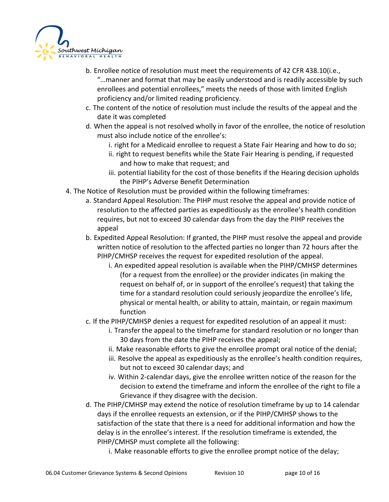

- b. Enrollee notice of resolution must meet the requirements of 42 CFR 438.10(i.e., "…manner and format that may be easily understood and is readily accessible by such enrollees and potential enrollees," meets the needs of those with limited English proficiency and/or limited reading proficiency.
- c. The content of the notice of resolution must include the results of the appeal and the date it was completed
- d. When the appeal is not resolved wholly in favor of the enrollee, the notice of resolution must also include notice of the enrollee's:
	- i. right for a Medicaid enrollee to request a State Fair Hearing and how to do so;
	- ii. right to request benefits while the State Fair Hearing is pending, if requested and how to make that request; and
	- iii. potential liability for the cost of those benefits if the Hearing decision upholds the PIHP's Adverse Benefit Determination
- 4. The Notice of Resolution must be provided within the following timeframes:
	- a. Standard Appeal Resolution: The PIHP must resolve the appeal and provide notice of resolution to the affected parties as expeditiously as the enrollee's health condition requires, but not to exceed 30 calendar days from the day the PIHP receives the appeal
	- b. Expedited Appeal Resolution: If granted, the PIHP must resolve the appeal and provide written notice of resolution to the affected parties no longer than 72 hours after the PIHP/CMHSP receives the request for expedited resolution of the appeal.
		- i. An expedited appeal resolution is available when the PIHP/CMHSP determines (for a request from the enrollee) or the provider indicates (in making the request on behalf of, or in support of the enrollee's request) that taking the time for a standard resolution could seriously jeopardize the enrollee's life, physical or mental health, or ability to attain, maintain, or regain maximum function
	- c. If the PIHP/CMHSP denies a request for expedited resolution of an appeal it must:
		- i. Transfer the appeal to the timeframe for standard resolution or no longer than 30 days from the date the PIHP receives the appeal;
		- ii. Make reasonable efforts to give the enrollee prompt oral notice of the denial;
		- iii. Resolve the appeal as expeditiously as the enrollee's health condition requires, but not to exceed 30 calendar days; and
		- iv. Within 2-calendar days, give the enrollee written notice of the reason for the decision to extend the timeframe and inform the enrollee of the right to file a Grievance if they disagree with the decision.
	- d. The PIHP/CMHSP may extend the notice of resolution timeframe by up to 14 calendar days if the enrollee requests an extension, or if the PIHP/CMHSP shows to the satisfaction of the state that there is a need for additional information and how the delay is in the enrollee's interest. If the resolution timeframe is extended, the PIHP/CMHSP must complete all the following:
		- i. Make reasonable efforts to give the enrollee prompt notice of the delay;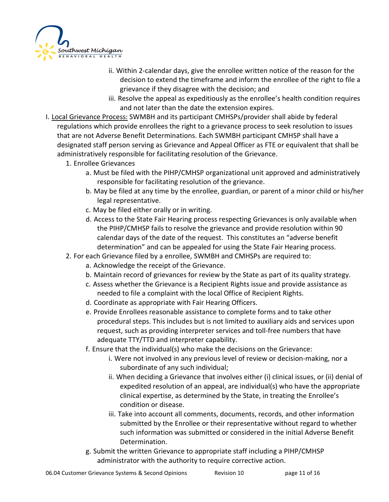

- ii. Within 2-calendar days, give the enrollee written notice of the reason for the decision to extend the timeframe and inform the enrollee of the right to file a grievance if they disagree with the decision; and
- iii. Resolve the appeal as expeditiously as the enrollee's health condition requires and not later than the date the extension expires.
- I. Local Grievance Process: SWMBH and its participant CMHSPs/provider shall abide by federal regulations which provide enrollees the right to a grievance process to seek resolution to issues that are not Adverse Benefit Determinations. Each SWMBH participant CMHSP shall have a designated staff person serving as Grievance and Appeal Officer as FTE or equivalent that shall be administratively responsible for facilitating resolution of the Grievance.
	- 1. Enrollee Grievances
		- a. Must be filed with the PIHP/CMHSP organizational unit approved and administratively responsible for facilitating resolution of the grievance.
		- b. May be filed at any time by the enrollee, guardian, or parent of a minor child or his/her legal representative.
		- c. May be filed either orally or in writing.
		- d. Access to the State Fair Hearing process respecting Grievances is only available when the PIHP/CMHSP fails to resolve the grievance and provide resolution within 90 calendar days of the date of the request. This constitutes an "adverse benefit determination" and can be appealed for using the State Fair Hearing process.
	- 2. For each Grievance filed by a enrollee, SWMBH and CMHSPs are required to:
		- a. Acknowledge the receipt of the Grievance.
		- b. Maintain record of grievances for review by the State as part of its quality strategy.
		- c. Assess whether the Grievance is a Recipient Rights issue and provide assistance as needed to file a complaint with the local Office of Recipient Rights.
		- d. Coordinate as appropriate with Fair Hearing Officers.
		- e. Provide Enrollees reasonable assistance to complete forms and to take other procedural steps. This includes but is not limited to auxiliary aids and services upon request, such as providing interpreter services and toll-free numbers that have adequate TTY/TTD and interpreter capability.
		- f. Ensure that the individual(s) who make the decisions on the Grievance:
			- i. Were not involved in any previous level of review or decision-making, nor a subordinate of any such individual;
			- ii. When deciding a Grievance that involves either (i) clinical issues, or (ii) denial of expedited resolution of an appeal, are individual(s) who have the appropriate clinical expertise, as determined by the State, in treating the Enrollee's condition or disease.
			- iii. Take into account all comments, documents, records, and other information submitted by the Enrollee or their representative without regard to whether such information was submitted or considered in the initial Adverse Benefit Determination.
		- g. Submit the written Grievance to appropriate staff including a PIHP/CMHSP administrator with the authority to require corrective action.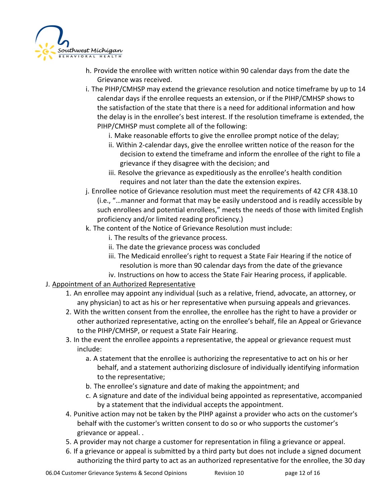

- h. Provide the enrollee with written notice within 90 calendar days from the date the Grievance was received.
- i. The PIHP/CMHSP may extend the grievance resolution and notice timeframe by up to 14 calendar days if the enrollee requests an extension, or if the PIHP/CMHSP shows to the satisfaction of the state that there is a need for additional information and how the delay is in the enrollee's best interest. If the resolution timeframe is extended, the PIHP/CMHSP must complete all of the following:
	- i. Make reasonable efforts to give the enrollee prompt notice of the delay;
	- ii. Within 2-calendar days, give the enrollee written notice of the reason for the decision to extend the timeframe and inform the enrollee of the right to file a grievance if they disagree with the decision; and
	- iii. Resolve the grievance as expeditiously as the enrollee's health condition requires and not later than the date the extension expires.
- j. Enrollee notice of Grievance resolution must meet the requirements of 42 CFR 438.10 (i.e., "…manner and format that may be easily understood and is readily accessible by such enrollees and potential enrollees," meets the needs of those with limited English proficiency and/or limited reading proficiency.)
- k. The content of the Notice of Grievance Resolution must include:
	- i. The results of the grievance process.
	- ii. The date the grievance process was concluded
	- iii. The Medicaid enrollee's right to request a State Fair Hearing if the notice of resolution is more than 90 calendar days from the date of the grievance
	- iv. Instructions on how to access the State Fair Hearing process, if applicable.
- J. Appointment of an Authorized Representative
	- 1. An enrollee may appoint any individual (such as a relative, friend, advocate, an attorney, or any physician) to act as his or her representative when pursuing appeals and grievances.
	- 2. With the written consent from the enrollee, the enrollee has the right to have a provider or other authorized representative, acting on the enrollee's behalf, file an Appeal or Grievance to the PIHP/CMHSP, or request a State Fair Hearing.
	- 3. In the event the enrollee appoints a representative, the appeal or grievance request must include:
		- a. A statement that the enrollee is authorizing the representative to act on his or her behalf, and a statement authorizing disclosure of individually identifying information to the representative;
		- b. The enrollee's signature and date of making the appointment; and
		- c. A signature and date of the individual being appointed as representative, accompanied by a statement that the individual accepts the appointment.
	- 4. Punitive action may not be taken by the PIHP against a provider who acts on the customer's behalf with the customer's written consent to do so or who supports the customer's grievance or appeal. .
	- 5. A provider may not charge a customer for representation in filing a grievance or appeal.
	- 6. If a grievance or appeal is submitted by a third party but does not include a signed document authorizing the third party to act as an authorized representative for the enrollee, the 30 day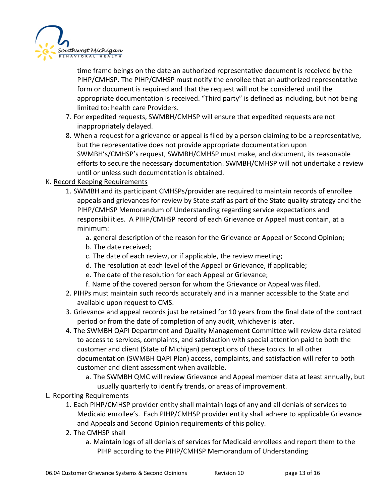

time frame beings on the date an authorized representative document is received by the PIHP/CMHSP. The PIHP/CMHSP must notify the enrollee that an authorized representative form or document is required and that the request will not be considered until the appropriate documentation is received. "Third party" is defined as including, but not being limited to: health care Providers.

- 7. For expedited requests, SWMBH/CMHSP will ensure that expedited requests are not inappropriately delayed.
- 8. When a request for a grievance or appeal is filed by a person claiming to be a representative, but the representative does not provide appropriate documentation upon SWMBH's/CMHSP's request, SWMBH/CMHSP must make, and document, its reasonable efforts to secure the necessary documentation. SWMBH/CMHSP will not undertake a review until or unless such documentation is obtained.

#### K. Record Keeping Requirements

- 1. SWMBH and its participant CMHSPs/provider are required to maintain records of enrollee appeals and grievances for review by State staff as part of the State quality strategy and the PIHP/CMHSP Memorandum of Understanding regarding service expectations and responsibilities. A PIHP/CMHSP record of each Grievance or Appeal must contain, at a minimum:
	- a. general description of the reason for the Grievance or Appeal or Second Opinion;
	- b. The date received;
	- c. The date of each review, or if applicable, the review meeting;
	- d. The resolution at each level of the Appeal or Grievance, if applicable;
	- e. The date of the resolution for each Appeal or Grievance;
	- f. Name of the covered person for whom the Grievance or Appeal was filed.
- 2. PIHPs must maintain such records accurately and in a manner accessible to the State and available upon request to CMS.
- 3. Grievance and appeal records just be retained for 10 years from the final date of the contract period or from the date of completion of any audit, whichever is later.
- 4. The SWMBH QAPI Department and Quality Management Committee will review data related to access to services, complaints, and satisfaction with special attention paid to both the customer and client (State of Michigan) perceptions of these topics. In all other documentation (SWMBH QAPI Plan) access, complaints, and satisfaction will refer to both customer and client assessment when available.
	- a. The SWMBH QMC will review Grievance and Appeal member data at least annually, but usually quarterly to identify trends, or areas of improvement.
- L. Reporting Requirements
	- 1. Each PIHP/CMHSP provider entity shall maintain logs of any and all denials of services to Medicaid enrollee's. Each PIHP/CMHSP provider entity shall adhere to applicable Grievance and Appeals and Second Opinion requirements of this policy.
	- 2. The CMHSP shall
		- a. Maintain logs of all denials of services for Medicaid enrollees and report them to the PIHP according to the PIHP/CMHSP Memorandum of Understanding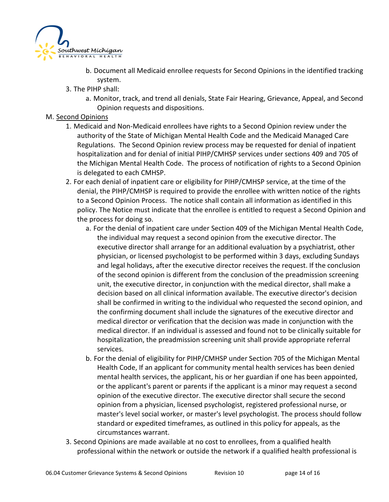

- b. Document all Medicaid enrollee requests for Second Opinions in the identified tracking system.
- 3. The PIHP shall:
	- a. Monitor, track, and trend all denials, State Fair Hearing, Grievance, Appeal, and Second Opinion requests and dispositions.

#### M. Second Opinions

- 1. Medicaid and Non-Medicaid enrollees have rights to a Second Opinion review under the authority of the State of Michigan Mental Health Code and the Medicaid Managed Care Regulations. The Second Opinion review process may be requested for denial of inpatient hospitalization and for denial of initial PIHP/CMHSP services under sections 409 and 705 of the Michigan Mental Health Code. The process of notification of rights to a Second Opinion is delegated to each CMHSP.
- 2. For each denial of inpatient care or eligibility for PIHP/CMHSP service, at the time of the denial, the PIHP/CMHSP is required to provide the enrollee with written notice of the rights to a Second Opinion Process. The notice shall contain all information as identified in this policy. The Notice must indicate that the enrollee is entitled to request a Second Opinion and the process for doing so.
	- a. For the denial of inpatient care under Section 409 of the Michigan Mental Health Code, the individual may request a second opinion from the executive director. The executive director shall arrange for an additional evaluation by a psychiatrist, other physician, or licensed psychologist to be performed within 3 days, excluding Sundays and legal holidays, after the executive director receives the request. If the conclusion of the second opinion is different from the conclusion of the preadmission screening unit, the executive director, in conjunction with the medical director, shall make a decision based on all clinical information available. The executive director's decision shall be confirmed in writing to the individual who requested the second opinion, and the confirming document shall include the signatures of the executive director and medical director or verification that the decision was made in conjunction with the medical director. If an individual is assessed and found not to be clinically suitable for hospitalization, the preadmission screening unit shall provide appropriate referral services.
	- b. For the denial of eligibility for PIHP/CMHSP under Section 705 of the Michigan Mental Health Code, If an applicant for community mental health services has been denied mental health services, the applicant, his or her guardian if one has been appointed, or the applicant's parent or parents if the applicant is a minor may request a second opinion of the executive director. The executive director shall secure the second opinion from a physician, licensed psychologist, registered professional nurse, or master's level social worker, or master's level psychologist. The process should follow standard or expedited timeframes, as outlined in this policy for appeals, as the circumstances warrant.
- 3. Second Opinions are made available at no cost to enrollees, from a qualified health professional within the network or outside the network if a qualified health professional is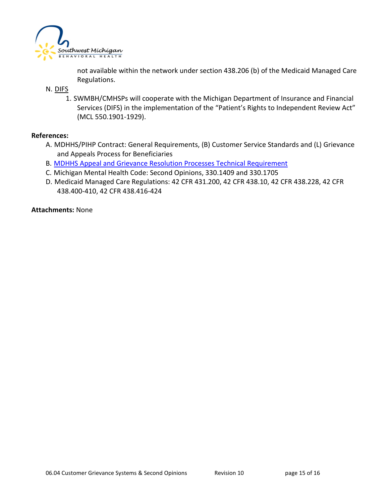

not available within the network under section 438.206 (b) of the Medicaid Managed Care Regulations.

N. DIFS

1. SWMBH/CMHSPs will cooperate with the Michigan Department of Insurance and Financial Services (DIFS) in the implementation of the "Patient's Rights to Independent Review Act" (MCL 550.1901-1929).

#### **References:**

- A. MDHHS/PIHP Contract: General Requirements, (B) Customer Service Standards and (L) Grievance and Appeals Process for Beneficiaries
- B. MDHHS [Appeal and Grievance Resolution Processes Technical Requirement](https://www.michigan.gov/documents/mdhhs/Appeal-and-Grievance-Resolution-Processes-Technical-Requirement_704451_7.pdf)
- C. Michigan Mental Health Code: Second Opinions, 330.1409 and 330.1705
- D. Medicaid Managed Care Regulations: 42 CFR 431.200, 42 CFR 438.10, 42 CFR 438.228, 42 CFR 438.400-410, 42 CFR 438.416-424

**Attachments:** None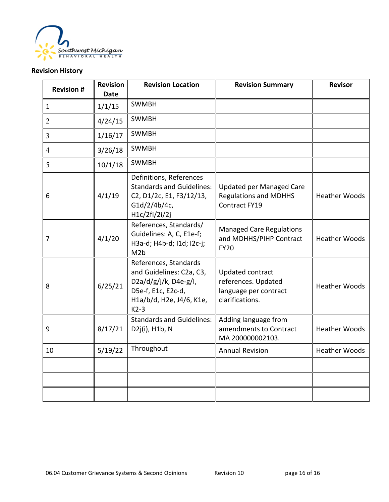

## **Revision History**

| <b>Revision #</b> | <b>Revision</b><br><b>Date</b> | <b>Revision Location</b>                                                                                                                  | <b>Revision Summary</b>                                                                    | <b>Revisor</b>       |
|-------------------|--------------------------------|-------------------------------------------------------------------------------------------------------------------------------------------|--------------------------------------------------------------------------------------------|----------------------|
| $\mathbf{1}$      | 1/1/15                         | <b>SWMBH</b>                                                                                                                              |                                                                                            |                      |
| $\overline{2}$    | 4/24/15                        | <b>SWMBH</b>                                                                                                                              |                                                                                            |                      |
| 3                 | 1/16/17                        | <b>SWMBH</b>                                                                                                                              |                                                                                            |                      |
| $\overline{4}$    | 3/26/18                        | <b>SWMBH</b>                                                                                                                              |                                                                                            |                      |
| 5                 | 10/1/18                        | <b>SWMBH</b>                                                                                                                              |                                                                                            |                      |
| 6                 | 4/1/19                         | Definitions, References<br><b>Standards and Guidelines:</b><br>C2, D1/2c, E1, F3/12/13,<br>G1d/2/4b/4c,<br>H1c/2fi/2i/2j                  | <b>Updated per Managed Care</b><br><b>Regulations and MDHHS</b><br>Contract FY19           | <b>Heather Woods</b> |
| 7                 | 4/1/20                         | References, Standards/<br>Guidelines: A, C, E1e-f;<br>H3a-d; H4b-d; I1d; I2c-j;<br>M <sub>2</sub> b                                       | <b>Managed Care Regulations</b><br>and MDHHS/PIHP Contract<br><b>FY20</b>                  | <b>Heather Woods</b> |
| 8                 | 6/25/21                        | References, Standards<br>and Guidelines: C2a, C3,<br>$D2a/d/g/j/k$ , D4e-g/l,<br>D5e-f, E1c, E2c-d,<br>H1a/b/d, H2e, J4/6, K1e,<br>$K2-3$ | <b>Updated contract</b><br>references. Updated<br>language per contract<br>clarifications. | <b>Heather Woods</b> |
| $\boldsymbol{9}$  | 8/17/21                        | <b>Standards and Guidelines:</b><br>D2j(i), H1b, N                                                                                        | Adding language from<br>amendments to Contract<br>MA 200000002103.                         | <b>Heather Woods</b> |
| 10                | 5/19/22                        | Throughout                                                                                                                                | <b>Annual Revision</b>                                                                     | <b>Heather Woods</b> |
|                   |                                |                                                                                                                                           |                                                                                            |                      |
|                   |                                |                                                                                                                                           |                                                                                            |                      |
|                   |                                |                                                                                                                                           |                                                                                            |                      |